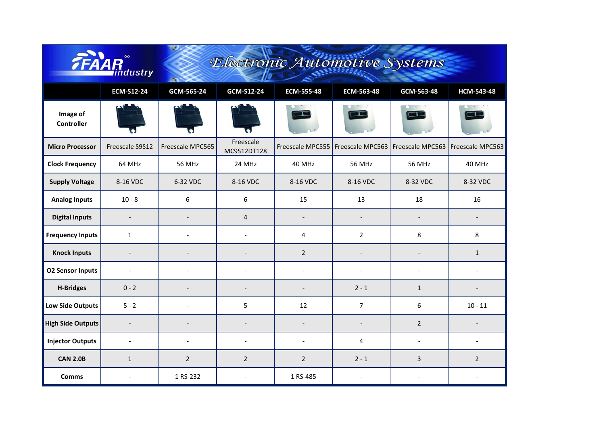|                               | ndustry                  | œ<br>Electronic Automotive Systems |                          |                          |                                     |                          |                  |  |  |  |
|-------------------------------|--------------------------|------------------------------------|--------------------------|--------------------------|-------------------------------------|--------------------------|------------------|--|--|--|
|                               | <b>ECM-S12-24</b>        | GCM-565-24                         | GCM-S12-24               | ECM-555-48               | ECM-563-48                          | GCM-563-48               | HCM-543-48       |  |  |  |
| Image of<br><b>Controller</b> |                          |                                    |                          |                          |                                     |                          |                  |  |  |  |
| <b>Micro Processor</b>        | Freescale S9S12          | Freescale MPC565                   | Freescale<br>MC9S12DT128 |                          | Freescale MPC555   Freescale MPC563 | Freescale MPC563         | Freescale MPC563 |  |  |  |
| <b>Clock Frequency</b>        | 64 MHz                   | <b>56 MHz</b>                      | 24 MHz                   | 40 MHz                   | <b>56 MHz</b>                       | <b>56 MHz</b>            | 40 MHz           |  |  |  |
| <b>Supply Voltage</b>         | 8-16 VDC                 | 6-32 VDC                           | 8-16 VDC                 | 8-16 VDC                 | 8-16 VDC                            | 8-32 VDC                 | 8-32 VDC         |  |  |  |
| <b>Analog Inputs</b>          | $10 - 8$                 | 6                                  | 6                        | 15                       | 13                                  | 18                       | 16               |  |  |  |
| <b>Digital Inputs</b>         | $\overline{a}$           |                                    | $\overline{4}$           | $\overline{\phantom{a}}$ |                                     | $\overline{a}$           |                  |  |  |  |
| <b>Frequency Inputs</b>       | $\mathbf{1}$             |                                    | $\sim$                   | 4                        | $\overline{2}$                      | 8                        | 8                |  |  |  |
| <b>Knock Inputs</b>           | $\overline{\phantom{a}}$ |                                    |                          | $\overline{2}$           |                                     | $\overline{\phantom{0}}$ | $\mathbf{1}$     |  |  |  |
| <b>O2 Sensor Inputs</b>       | $\overline{\phantom{a}}$ |                                    |                          | $\overline{a}$           | $\overline{a}$                      | $\overline{\phantom{a}}$ |                  |  |  |  |
| <b>H-Bridges</b>              | $0 - 2$                  |                                    |                          | $\overline{a}$           | $2 - 1$                             | $\mathbf{1}$             |                  |  |  |  |
| <b>Low Side Outputs</b>       | $5 - 2$                  |                                    | 5                        | 12                       | $\overline{7}$                      | 6                        | $10 - 11$        |  |  |  |
| <b>High Side Outputs</b>      | $\overline{\phantom{a}}$ |                                    |                          | $\overline{\phantom{a}}$ |                                     | $\overline{2}$           |                  |  |  |  |
| <b>Injector Outputs</b>       | $\overline{a}$           |                                    |                          |                          | 4                                   | $\overline{\phantom{a}}$ |                  |  |  |  |
| <b>CAN 2.0B</b>               | $\mathbf{1}$             | $\overline{2}$                     | $\overline{2}$           | $\overline{2}$           | $2 - 1$                             | $\overline{3}$           | $\overline{2}$   |  |  |  |
| <b>Comms</b>                  |                          | 1 RS-232                           | $\overline{\phantom{a}}$ | 1 RS-485                 | $\overline{a}$                      | $\overline{\phantom{a}}$ |                  |  |  |  |